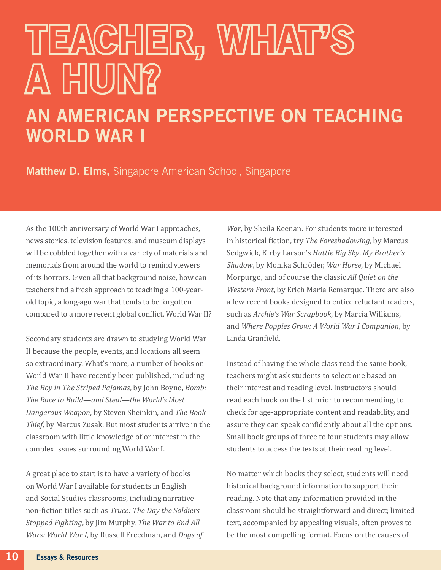## TEACHER, WHAT'S A HUNY?

## AN AMERICAN PERSPECTIVE ON TEACHING WORLD WAR I

**Matthew D. Elms, Singapore American School, Singapore** 

As the 100th anniversary of World War I approaches, news stories, television features, and museum displays will be cobbled together with a variety of materials and memorials from around the world to remind viewers of its horrors. Given all that background noise, how can teachers find a fresh approach to teaching a 100-yearold topic, a long-ago war that tends to be forgotten compared to a more recent global conflict, World War II?

Secondary students are drawn to studying World War II because the people, events, and locations all seem so extraordinary. What's more, a number of books on World War II have recently been published, including *The Boy in The Striped Pajamas*, by John Boyne, *Bomb: The Race to Build—and Steal—the World's Most Dangerous Weapon*, by Steven Sheinkin, and *The Book Thief*, by Marcus Zusak. But most students arrive in the classroom with little knowledge of or interest in the complex issues surrounding World War I.

A great place to start is to have a variety of books on World War I available for students in English and Social Studies classrooms, including narrative non-fiction titles such as *Truce: The Day the Soldiers Stopped Fighting*, by Jim Murphy, *The War to End All Wars: World War I*, by Russell Freedman, and *Dogs of* 

*War*, by Sheila Keenan. For students more interested in historical fiction, try *The Foreshadowing*, by Marcus Sedgwick, Kirby Larson's *Hattie Big Sky*, *My Brother's Shadow*, by Monika Schröder, *War Horse*, by Michael Morpurgo, and of course the classic *All Quiet on the Western Front*, by Erich Maria Remarque. There are also a few recent books designed to entice reluctant readers, such as *Archie's War Scrapbook*, by Marcia Williams, and *Where Poppies Grow: A World War I Companion*, by Linda Granfield.

Instead of having the whole class read the same book, teachers might ask students to select one based on their interest and reading level. Instructors should read each book on the list prior to recommending, to check for age-appropriate content and readability, and assure they can speak confidently about all the options. Small book groups of three to four students may allow students to access the texts at their reading level.

No matter which books they select, students will need historical background information to support their reading. Note that any information provided in the classroom should be straightforward and direct; limited text, accompanied by appealing visuals, often proves to be the most compelling format. Focus on the causes of